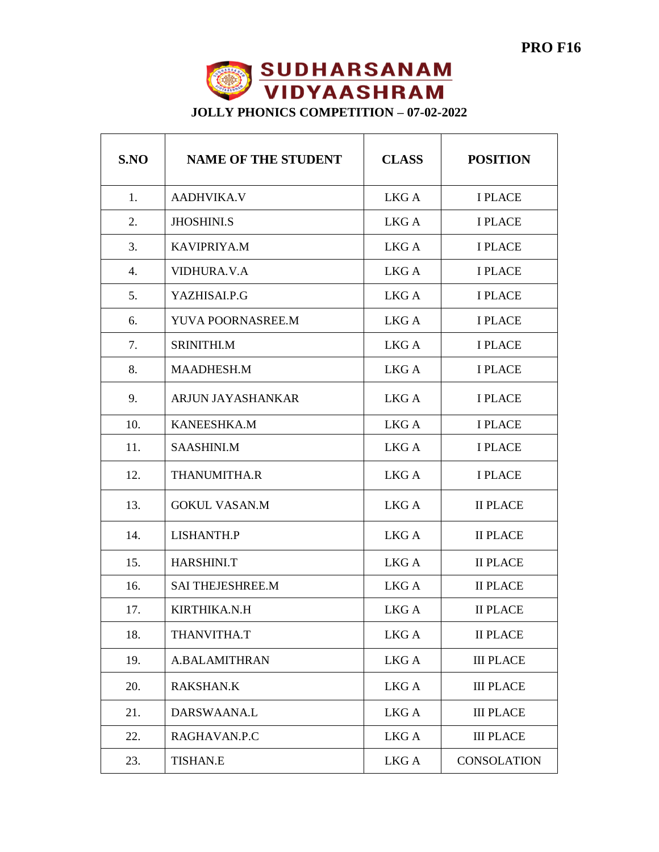

**JOLLY PHONICS COMPETITION – 07-02-2022**

| S.NO             | <b>NAME OF THE STUDENT</b> | <b>CLASS</b> | <b>POSITION</b>    |
|------------------|----------------------------|--------------|--------------------|
| 1.               | <b>AADHVIKA.V</b>          | LKG A        | <b>I PLACE</b>     |
| 2.               | <b>JHOSHINLS</b>           | LKG A        | <b>I PLACE</b>     |
| 3.               | <b>KAVIPRIYA.M</b>         | LKG A        | <b>I PLACE</b>     |
| $\overline{4}$ . | VIDHURA.V.A                | LKG A        | <b>I PLACE</b>     |
| 5.               | YAZHISAI.P.G               | LKG A        | <b>I PLACE</b>     |
| 6.               | YUVA POORNASREE.M          | LKG A        | <b>I PLACE</b>     |
| 7.               | SRINITHI.M                 | LKG A        | <b>I PLACE</b>     |
| 8.               | MAADHESH.M                 | LKG A        | <b>I PLACE</b>     |
| 9.               | ARJUN JAYASHANKAR          | LKG A        | <b>I PLACE</b>     |
| 10.              | KANEESHKA.M                | LKG A        | <b>I PLACE</b>     |
| 11.              | SAASHINI.M                 | LKG A        | <b>I PLACE</b>     |
| 12.              | THANUMITHA.R               | LKG A        | <b>I PLACE</b>     |
| 13.              | <b>GOKUL VASAN.M</b>       | LKG A        | <b>II PLACE</b>    |
| 14.              | LISHANTH.P                 | LKG A        | <b>II PLACE</b>    |
| 15.              | HARSHINI.T                 | LKG A        | <b>II PLACE</b>    |
| 16.              | <b>SAI THEJESHREE.M</b>    | LKG A        | <b>II PLACE</b>    |
| 17.              | KIRTHIKA.N.H               | LKG A        | <b>II PLACE</b>    |
| 18.              | THANVITHA.T                | LKG A        | <b>II PLACE</b>    |
| 19.              | <b>A.BALAMITHRAN</b>       | LKG A        | <b>III PLACE</b>   |
| 20.              | <b>RAKSHAN.K</b>           | LKG A        | <b>III PLACE</b>   |
| 21.              | DARSWAANA.L                | LKG A        | <b>III PLACE</b>   |
| 22.              | RAGHAVAN.P.C               | LKG A        | <b>III PLACE</b>   |
| 23.              | <b>TISHAN.E</b>            | LKG A        | <b>CONSOLATION</b> |